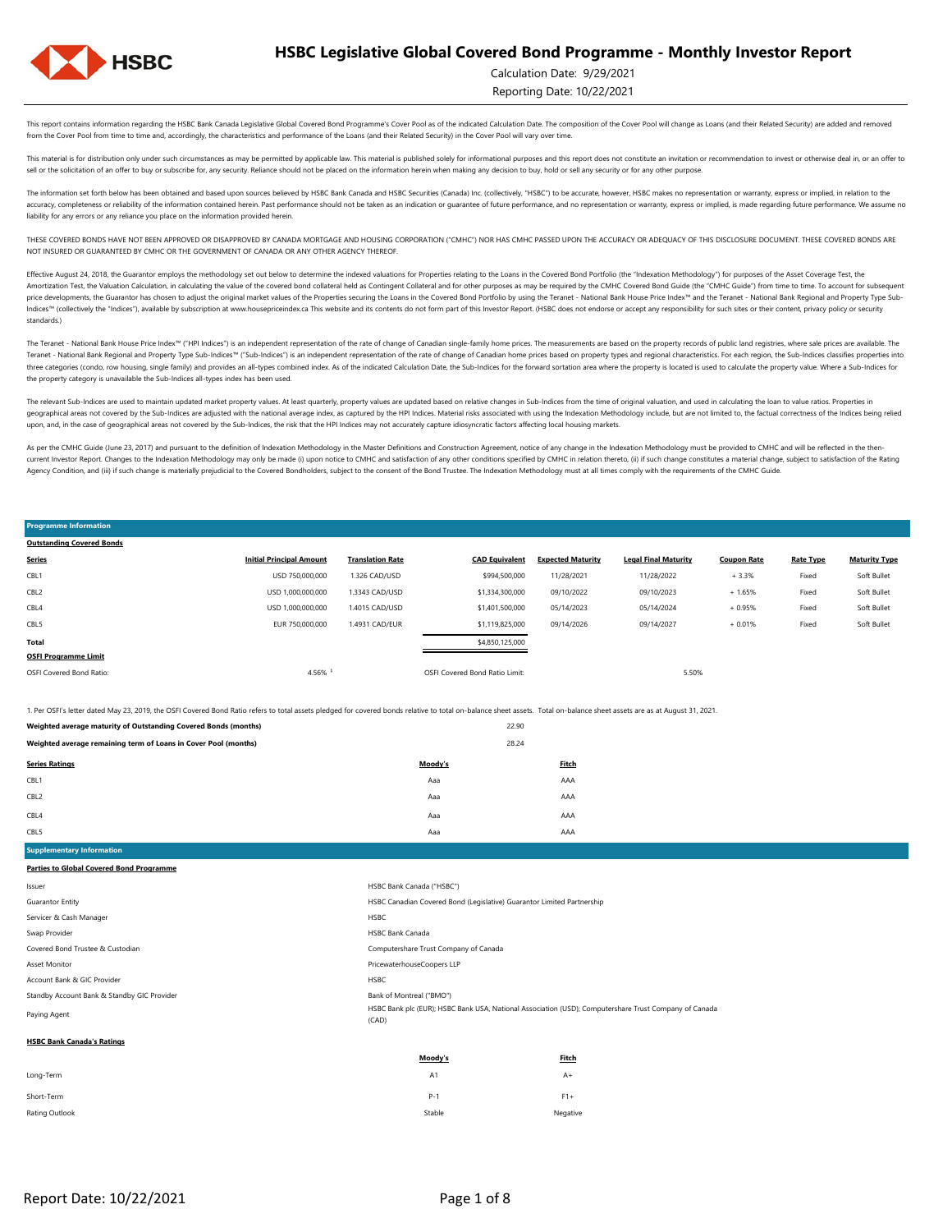

Calculation Date: 9/29/2021

Reporting Date: 10/22/2021

This report contains information regarding the HSBC Bank Canada Legislative Global Covered Bond Programme's Cover Pool as of the indicated Calculation Date. The composition of the Cover Pool will change as Loans (and their from the Cover Pool from time to time and, accordingly, the characteristics and performance of the Loans (and their Related Security) in the Cover Pool will vary over time.

This material is for distribution only under such circumstances as may be permitted by applicable law. This material is published solely for informational purposes and this report does not constitute an invitation or recom sell or the solicitation of an offer to buy or subscribe for, any security. Reliance should not be placed on the information herein when making any decision to buy, hold or sell any security or for any other purpose

The information set forth below has been obtained and based upon sources believed by HSBC Bank Canada and HSBC Securities (Canada) Inc. (collectively, "HSBC") to be accurate, however, HSBC makes no representation or warran ccuracy, completeness or reliability of the information contained herein. Past performance should not be taken as an indication or guarantee of future performance, and no representation or warranty, express or implied, is liability for any errors or any reliance you place on the information provided herein.

THESE COVERED BONDS HAVE NOT BEEN APPROVED OR DISAPPROVED BY CANADA MORTGAGE AND HOUSING CORPORATION ("CMHC") NOR HAS CMHC PASSED UPON THE ACCURACY OR ADEQUACY OF THIS DISCLOSURE DOCUMENT. THESE COVERED BONDS ARE NOT INSURED OR GUARANTEED BY CMHC OR THE GOVERNMENT OF CANADA OR ANY OTHER AGENCY THEREOF.

Effective August 24, 2018, the Guarantor employs the methodology set out below to determine the indexed valuations for Properties relating to the Loans in the Covered Bond Portfolio (the "Indexation Methodology") for purpo Amortization Test, the Valuation Calculation, in calculating the value of the covered bond collateral held as Contingent Collateral and for other purposes as may be required by the CMHC Covered Bond Guide (the "CMHC Guide" nice developments, the Guarantor has chosen to adjust the original market values of the Properties securing the Loans in the Covered Bond Portfolio by using the Teranet - National Bank House Price Index™ and the Teranet - Indices™ (collectively the "Indices"), available by subscription at www.housepriceindex.ca This website and its contents do not form part of this Investor Report. (HSBC does not endorse or accept any responsibility for suc standards.)

The Teranet - National Bank House Price Index<sup>na</sup> ("HPI Indices") is an independent representation of the rate of change of Canadian single-family home prices. The measurements are based on the property records of public l Teranet - National Bank Regional and Property Type Sub-Indices™ ("Sub-Indices") is an independent representation of the rate of change of Canadian home prices based on property types and regional characteristics. For each three categories (condo, row housing, single family) and provides an all-types combined index. As of the indicated Calculation Date, the Sub-Indices for the forward sortation area where the property is located is used to c the property category is unavailable the Sub-Indices all-types index has been used.

The relevant Sub-Indices are used to maintain updated market property values. At least quarterly, property values are updated based on relative changes in Sub-Indices from the time of original valuation, and used in calcul geographical areas not covered by the Sub-Indices are adjusted with the national average index, as captured by the HPI Indices. Material risks associated with using the Indexation Methodology include, but are not limited t upon, and, in the case of geographical areas not covered by the Sub-Indices, the risk that the HPI Indices may not accurately capture idiosyncratic factors affecting local housing markets.

As per the CMHC Guide (June 23, 2017) and pursuant to the definition of Indexation Methodology in the Master Definitions and Construction Agreement, notice of any change in the Indexation Methodology must be provided to CM current Investor Report. Changes to the Indexation Methodology may only be made (i) upon notice to CMHC and satisfaction of any other conditions specified by CMHC in relation thereto, (ii) if such change constitutes a mate Agency Condition, and (iii) if such change is materially prejudicial to the Covered Bondholders, subject to the consent of the Bond Trustee. The Indexation Methodology must at all times comply with the requirements of the

OSFI Covered Bond Ratio: 5.50% and Ratio Covered Bond Ratio Limit: 5.50% and Ratio Limit: 5.50% and Ratio Limit: 5.50% and Ratio Limit: 5.50% and Ratio Limit: 5.50% and Ratio Limit: 5.50% and Ratio Limit: 5.50% and Ratio L **OSFI Programme Limit** Soft Bullet **Total** \$4,850,125,000 **Rate Type** Fixed Soft Bullet CBL5 EUR 750,000,000 1.4931 CAD/EUR \$1,119,825,000 09/14/2026 09/14/2027 + 0.01% Fixed + 1.65% Fixed Soft Bullet CBL4 USD 1,000,000,000 1.4015 CAD/USD \$1,401,500,000 05/14/2023 05/14/2024 + 0.95% CBL2 USD 1,000,000,000 1.3343 CAD/USD \$1,334,300,000 09/10/2022 09/10/2023 **Programme Information Outstanding Covered Bonds Maturity Type** CBL1 USD 750,000,000 1.326 CAD/USD \$994,500,000 11/28/2021 11/28/2022 + 3.3% Fixed Soft Bullet **Series Initial Principal Amount Translation Rate CAD Equivalent Expected Maturity Legal Final Maturity Coupon Rate**

1. Per OSFI's letter dated May 23, 2019, the OSFI Covered Bond Ratio refers to total assets pledged for covered bonds relative to total on-balance sheet assets. Total on-balance sheet assets are as at August 31, 2021.

| Weighted average maturity of Outstanding Covered Bonds (months) |         | 22.90 |              |
|-----------------------------------------------------------------|---------|-------|--------------|
| Weighted average remaining term of Loans in Cover Pool (months) |         | 28.24 |              |
| <b>Series Ratings</b>                                           | Moody's |       | <b>Fitch</b> |
| CBL1                                                            | Aaa     |       | AAA          |
| CBL2                                                            | Aaa     |       | AAA          |
| CBL4                                                            | Aaa     |       | AAA          |
| CBL5                                                            | Aaa     |       | AAA          |

**Supplementary Information Parties to Global Covered Bond Programme**

| Issuer                                      | HSBC Bank Canada ("HSBC")                                                                                      |                                                                        |  |  |  |  |
|---------------------------------------------|----------------------------------------------------------------------------------------------------------------|------------------------------------------------------------------------|--|--|--|--|
| <b>Guarantor Entity</b>                     |                                                                                                                | HSBC Canadian Covered Bond (Legislative) Guarantor Limited Partnership |  |  |  |  |
| Servicer & Cash Manager                     | HSBC                                                                                                           |                                                                        |  |  |  |  |
| Swap Provider                               | <b>HSBC Bank Canada</b>                                                                                        |                                                                        |  |  |  |  |
| Covered Bond Trustee & Custodian            | Computershare Trust Company of Canada                                                                          |                                                                        |  |  |  |  |
| <b>Asset Monitor</b>                        | PricewaterhouseCoopers LLP                                                                                     |                                                                        |  |  |  |  |
| Account Bank & GIC Provider                 | <b>HSBC</b>                                                                                                    |                                                                        |  |  |  |  |
| Standby Account Bank & Standby GIC Provider | Bank of Montreal ("BMO")                                                                                       |                                                                        |  |  |  |  |
| Paying Agent                                | HSBC Bank plc (EUR); HSBC Bank USA, National Association (USD); Computershare Trust Company of Canada<br>(CAD) |                                                                        |  |  |  |  |
| <b>HSBC Bank Canada's Ratings</b>           |                                                                                                                |                                                                        |  |  |  |  |
|                                             | Moody's                                                                                                        | Fitch                                                                  |  |  |  |  |
| Long-Term                                   | A1                                                                                                             | $A+$                                                                   |  |  |  |  |

| Short-Term     |        |          |
|----------------|--------|----------|
| Rating Outlook | Stable | Negative |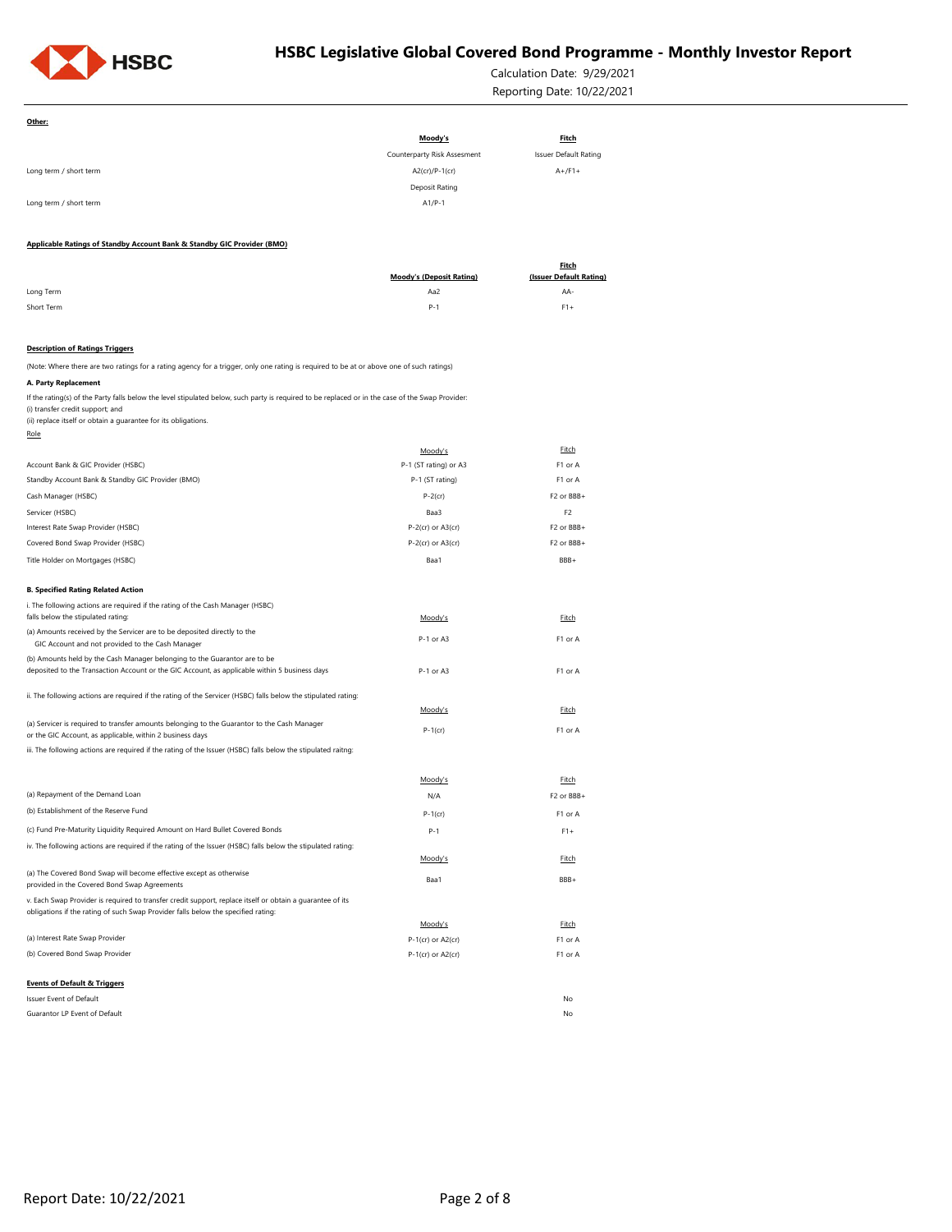

**Other:**

## **HSBC Legislative Global Covered Bond Programme - Monthly Investor Report**

Calculation Date: 9/29/2021 Reporting Date: 10/22/2021

Guarantor LP Event of Default No **Events of Default & Triggers** Issuer Event of Default No. 2006 and the United States of Default No. 2006 and No. 2006 and No. 2006 and No. 2006 and No. 2006 and No. 2006 and No. 2006 and No. 2006 and No. 2006 and No. 2006 and No. 2006 and No. 2006 and (b) Covered Bond Swap Provider F1 or A covered Bond Swap Provider P-1(cr) or A2(cr) F1 or A v. Each Swap Provider is required to transfer credit support, replace itself or obtain a guarantee of its obligations if the rating of such Swap Provider falls below the specified rating: Moody's Fitch (a) Interest Rate Swap Provider P-1(cr) or A2(cr) P-1(cr) or A2(cr) P-1(cr) or A2(cr) iv. The following actions are required if the rating of the Issuer (HSBC) falls below the stipulated rating: Moody's Fitch (a) The Covered Bond Swap will become effective except as otherwise (a) The Covered Bond Swap will become effective except as otherwise<br>provided in the Covered Bond Swap Agreements BBB+ (b) Establishment of the Reserve Fund P-1(cr) F1 or A (c) Fund Pre-Maturity Liquidity Required Amount on Hard Bullet Covered Bonds P-1 F1+ Moody's Fitch (a) Repayment of the Demand Loan N/A F2 or BBB+ (a) Servicer is required to transfer amounts belonging to the Guarantor to the Cash Manager (a) servicer is required to transfer amounts beforiging to the Guardintor to the Casil Manager<br>or the GIC Account, as applicable, within 2 business days **P-1(cr)** P-1(cr) P-1(cr) iii. The following actions are required if the rating of the Issuer (HSBC) falls below the stipulated raitng: (b) Amounts held by the Cash Manager belonging to the Guarantor are to be deposited to the Transaction Account or the GIC Account, as applicable within 5 business days P-1 or A3 P-1 or A3 F1 or A ii. The following actions are required if the rating of the Servicer (HSBC) falls below the stipulated rating: Moody's Fitch i. The following actions are required if the rating of the Cash Manager (HSBC) falls below the stipulated rating: The stipulated rating: The stipulated rating: The stipulated rating: The stipulated rating: The stipulated rating: The stipulated rating: The stipulated rating: The stipulated rating: The (a) Amounts received by the Servicer are to be deposited directly to the Amounts received by the servicer are to be deposited directly to the<br>GIC Account and not provided to the Cash Manager P-1 or A3 F1 or A3 F1 or A3 **B. Specified Rating Related Action** Covered Bond Swap Provider (HSBC) P-2(cr) or A3(cr) F2 or BBB+ Title Holder on Mortgages (HSBC) Baa1 BBB+ Servicer (HSBC) Baa3 F2 Interest Rate Swap Provider (HSBC) P-2(cr) or A3(cr) F2 or BBB+ Standby Account Bank & Standby GIC Provider (BMO) <br>
F1 or A Cash Manager (HSBC) P-2(cr) F2 or BBB+ Moody's Fitch Account Bank & GIC Provider (HSBC) **P-1** (ST rating) or A3 F1 or A (Note: Where there are two ratings for a rating agency for a trigger, only one rating is required to be at or above one of such ratings) **A. Party Replacement** If the rating(s) of the Party falls below the level stipulated below, such party is required to be replaced or in the case of the Swap Provider: (i) transfer credit support; and (ii) replace itself or obtain a guarantee for its obligations. Role **Description of Ratings Triggers** Long Term Aa2 AA-Short Term P-1 F1+ **Applicable Ratings of Standby Account Bank & Standby GIC Provider (BMO) Moody's (Deposit Rating) Fitch (Issuer Default Rating)** Long term / short term A1/P-1 Long term / short term  $A+(F1+T1)$ Deposit Rating **Moody's Fitch** Counterparty Risk Assesment Issuer Default Rating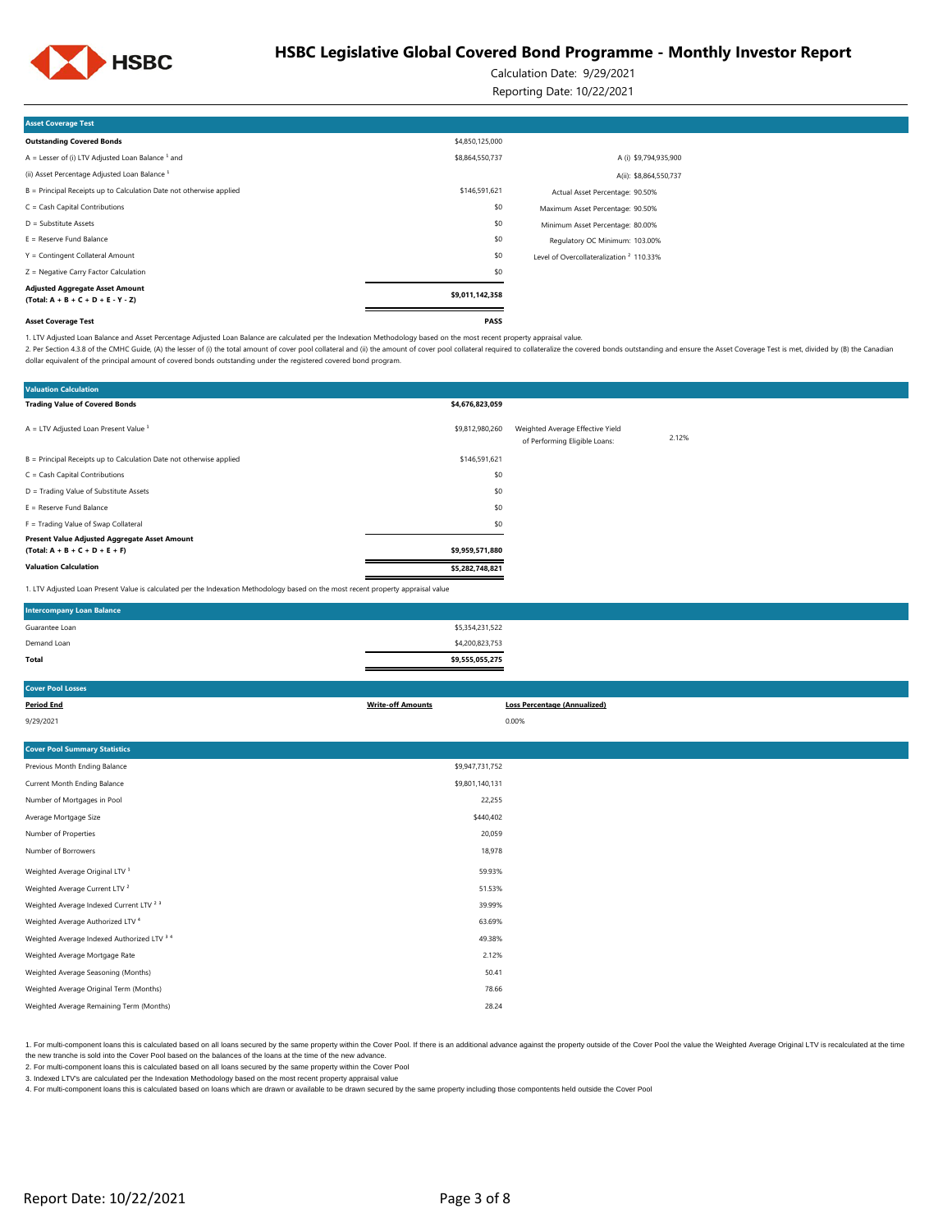

Calculation Date: 9/29/2021

Reporting Date: 10/22/2021

| <b>Asset Coverage Test</b>                                                     |                 |                                                     |
|--------------------------------------------------------------------------------|-----------------|-----------------------------------------------------|
| <b>Outstanding Covered Bonds</b>                                               | \$4,850,125,000 |                                                     |
| $A =$ Lesser of (i) LTV Adjusted Loan Balance $1$ and                          | \$8,864,550,737 | A (i) \$9,794,935,900                               |
| (ii) Asset Percentage Adjusted Loan Balance <sup>1</sup>                       |                 | A(ii): \$8,864,550,737                              |
| B = Principal Receipts up to Calculation Date not otherwise applied            | \$146,591,621   | Actual Asset Percentage: 90.50%                     |
| $C = Cash Capital Contributions$                                               | \$0             | Maximum Asset Percentage: 90.50%                    |
| $D =$ Substitute Assets                                                        | \$0             | Minimum Asset Percentage: 80.00%                    |
| $E =$ Reserve Fund Balance                                                     | \$0             | Regulatory OC Minimum: 103.00%                      |
| Y = Contingent Collateral Amount                                               | \$0             | Level of Overcollateralization <sup>2</sup> 110.33% |
| Z = Negative Carry Factor Calculation                                          | \$0             |                                                     |
| <b>Adjusted Aggregate Asset Amount</b><br>$(Total: A + B + C + D + E - Y - Z)$ | \$9,011,142,358 |                                                     |
| <b>Asset Coverage Test</b>                                                     | <b>PASS</b>     |                                                     |

1. LTV Adjusted Loan Balance and Asset Percentage Adjusted Loan Balance are calculated per the Indexation Methodology based on the most recent property appraisal value.

2. Per Section 4.3.8 of the CMHC Guide, (A) the lesser of (i) the total amount of cover pool collateral and (ii) the amount of cover pool collateral required to collateral required to collateral required to collateralize t dollar equivalent of the principal amount of covered bonds outstanding under the registered covered bond program.

| <b>Valuation Calculation</b>                                                                                                      |                 |                                                                   |       |  |
|-----------------------------------------------------------------------------------------------------------------------------------|-----------------|-------------------------------------------------------------------|-------|--|
| <b>Trading Value of Covered Bonds</b>                                                                                             | \$4,676,823,059 |                                                                   |       |  |
| $A = LTV$ Adjusted Loan Present Value $1$                                                                                         | \$9,812,980,260 | Weighted Average Effective Yield<br>of Performing Eligible Loans: | 2.12% |  |
| B = Principal Receipts up to Calculation Date not otherwise applied                                                               | \$146,591,621   |                                                                   |       |  |
| C = Cash Capital Contributions                                                                                                    | \$0             |                                                                   |       |  |
| D = Trading Value of Substitute Assets                                                                                            | \$0             |                                                                   |       |  |
| $E =$ Reserve Fund Balance                                                                                                        | \$0             |                                                                   |       |  |
| F = Trading Value of Swap Collateral                                                                                              | \$0             |                                                                   |       |  |
| Present Value Adjusted Aggregate Asset Amount                                                                                     |                 |                                                                   |       |  |
| $(Total: A + B + C + D + E + F)$                                                                                                  | \$9,959,571,880 |                                                                   |       |  |
| <b>Valuation Calculation</b>                                                                                                      | \$5,282,748,821 |                                                                   |       |  |
| 1. LTV Adjusted Loan Present Value is calculated per the Indexation Methodology based on the most recent property appraisal value |                 |                                                                   |       |  |
| <b>Intercompany Loan Balance</b>                                                                                                  |                 |                                                                   |       |  |
| Guarantee Loan                                                                                                                    | \$5,354,231,522 |                                                                   |       |  |
| Demand Loan                                                                                                                       | \$4,200,823,753 |                                                                   |       |  |

| Total                                | \$9,555,055,275          |                                     |
|--------------------------------------|--------------------------|-------------------------------------|
| <b>Cover Pool Losses</b>             |                          |                                     |
| <b>Period End</b>                    | <b>Write-off Amounts</b> | <b>Loss Percentage (Annualized)</b> |
| 9/29/2021                            |                          | 0.00%                               |
|                                      |                          |                                     |
| <b>Cover Pool Summary Statistics</b> |                          |                                     |

| Previous Month Ending Balance                      | \$9,947,731,752 |
|----------------------------------------------------|-----------------|
| Current Month Ending Balance                       | \$9,801,140,131 |
| Number of Mortgages in Pool                        | 22,255          |
| Average Mortgage Size                              | \$440,402       |
| Number of Properties                               | 20,059          |
| Number of Borrowers                                | 18,978          |
| Weighted Average Original LTV <sup>1</sup>         | 59.93%          |
| Weighted Average Current LTV <sup>2</sup>          | 51.53%          |
| Weighted Average Indexed Current LTV <sup>23</sup> | 39.99%          |
| Weighted Average Authorized LTV <sup>4</sup>       | 63.69%          |
| Weighted Average Indexed Authorized LTV 3 4        | 49.38%          |
| Weighted Average Mortgage Rate                     | 2.12%           |
| Weighted Average Seasoning (Months)                | 50.41           |
| Weighted Average Original Term (Months)            | 78.66           |
| Weighted Average Remaining Term (Months)           | 28.24           |
|                                                    |                 |

1. For multi-component loans this is calculated based on all loans secured by the same property within the Cover Pool. If there is an additional advance against the property outside of the Cover Pool the value the Weighted the new tranche is sold into the Cover Pool based on the balances of the loans at the time of the new advance.

2. For multi-component loans this is calculated based on all loans secured by the same property within the Cover Pool

3. Indexed LTV's are calculated per the Indexation Methodology based on the most recent property appraisal value<br>4. For multi-component loans this is calculated based on loans which are drawn or available to be drawn secur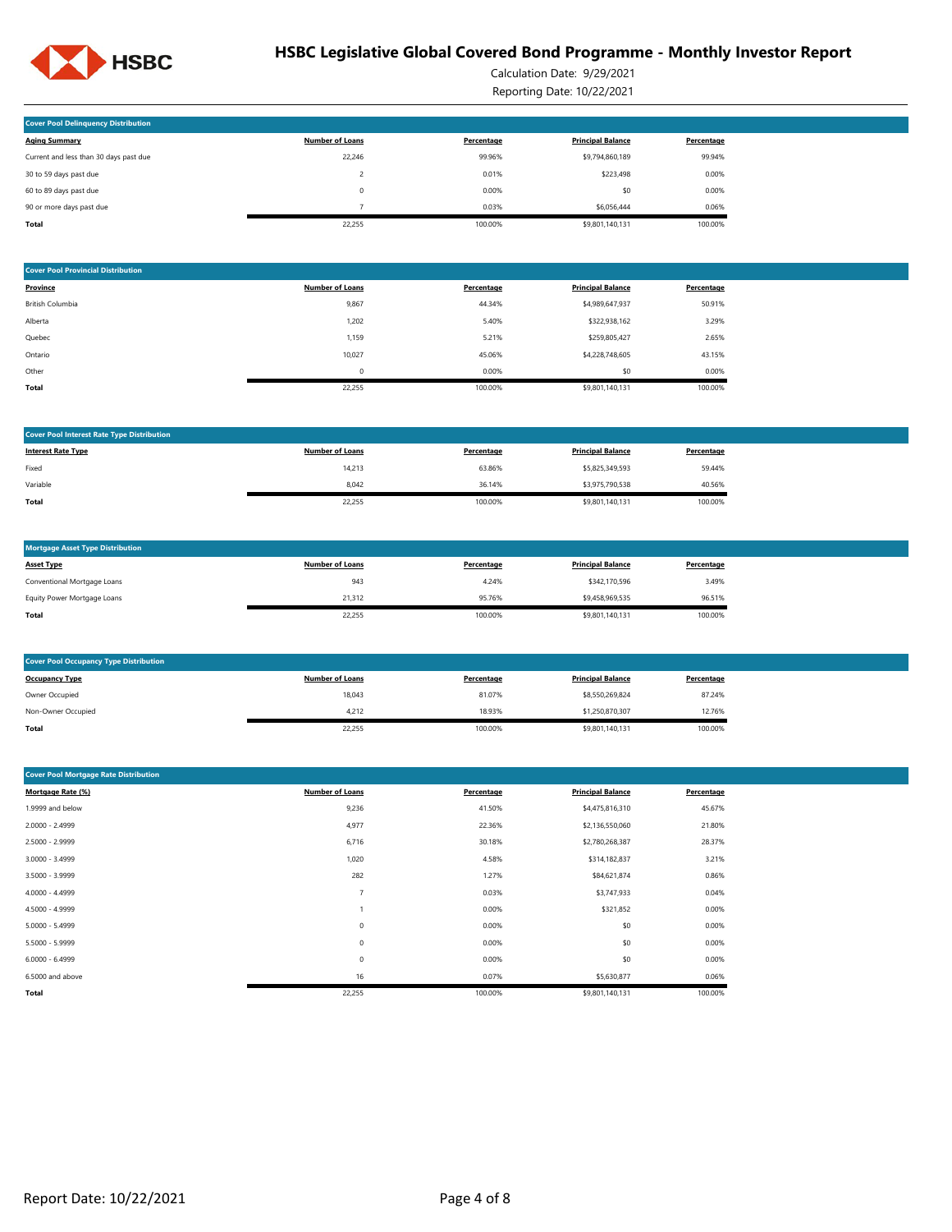

Calculation Date: 9/29/2021

Reporting Date: 10/22/2021

| <b>Cover Pool Delinquency Distribution</b> |                        |            |                          |            |
|--------------------------------------------|------------------------|------------|--------------------------|------------|
| <b>Aging Summary</b>                       | <b>Number of Loans</b> | Percentage | <b>Principal Balance</b> | Percentage |
| Current and less than 30 days past due     | 22.246                 | 99.96%     | \$9,794,860,189          | 99.94%     |
| 30 to 59 days past due                     |                        | 0.01%      | \$223,498                | 0.00%      |
| 60 to 89 days past due                     | $\Omega$               | 0.00%      | \$0                      | 0.00%      |
| 90 or more days past due                   |                        | 0.03%      | \$6,056,444              | 0.06%      |
| Total                                      | 22.255                 | 100.00%    | \$9,801,140,131          | 100.00%    |

| <b>Cover Pool Provincial Distribution</b> |                        |            |                          |            |
|-------------------------------------------|------------------------|------------|--------------------------|------------|
| Province                                  | <b>Number of Loans</b> | Percentage | <b>Principal Balance</b> | Percentage |
| <b>British Columbia</b>                   | 9,867                  | 44.34%     | \$4,989,647,937          | 50.91%     |
| Alberta                                   | 1.202                  | 5.40%      | \$322,938,162            | 3.29%      |
| Quebec                                    | 1,159                  | 5.21%      | \$259,805,427            | 2.65%      |
| Ontario                                   | 10,027                 | 45.06%     | \$4,228,748,605          | 43.15%     |
| Other                                     | 0                      | 0.00%      | \$0                      | 0.00%      |
| Total                                     | 22.255                 | 100.00%    | \$9,801,140,131          | 100.00%    |

| <b>Cover Pool Interest Rate Type Distribution</b> |                        |            |                          |            |
|---------------------------------------------------|------------------------|------------|--------------------------|------------|
| <b>Interest Rate Type</b>                         | <b>Number of Loans</b> | Percentage | <b>Principal Balance</b> | Percentage |
| Fixed                                             | 14,213                 | 63.86%     | \$5,825,349,593          | 59.44%     |
| Variable                                          | 8.042                  | 36.14%     | \$3,975,790,538          | 40.56%     |
| Total                                             | 22,255                 | 100.00%    | \$9,801,140,131          | 100.00%    |

| <b>Mortgage Asset Type Distribution</b> |                        |            |                          |            |
|-----------------------------------------|------------------------|------------|--------------------------|------------|
| <b>Asset Type</b>                       | <b>Number of Loans</b> | Percentage | <b>Principal Balance</b> | Percentage |
| Conventional Mortgage Loans             | 943                    | 4.24%      | \$342,170,596            | 3.49%      |
| Equity Power Mortgage Loans             | 21.312                 | 95.76%     | \$9,458,969.535          | 96.51%     |
| Total                                   | 22,255                 | 100.00%    | \$9,801,140,131          | 100.00%    |

| <b>Cover Pool Occupancy Type Distribution</b> |                        |            |                          |            |
|-----------------------------------------------|------------------------|------------|--------------------------|------------|
| <b>Occupancy Type</b>                         | <b>Number of Loans</b> | Percentage | <b>Principal Balance</b> | Percentage |
| Owner Occupied                                | 18,043                 | 81.07%     | \$8,550,269,824          | 87.24%     |
| Non-Owner Occupied                            | 4,212                  | 18.93%     | \$1,250,870,307          | 12.76%     |
| Total                                         | 22,255                 | 100.00%    | \$9,801,140,131          | 100.00%    |

| <b>Cover Pool Mortgage Rate Distribution</b> |                        |            |                          |            |
|----------------------------------------------|------------------------|------------|--------------------------|------------|
| Mortgage Rate (%)                            | <b>Number of Loans</b> | Percentage | <b>Principal Balance</b> | Percentage |
| 1.9999 and below                             | 9,236                  | 41.50%     | \$4,475,816,310          | 45.67%     |
| $2.0000 - 2.4999$                            | 4,977                  | 22.36%     | \$2,136,550,060          | 21.80%     |
| 2.5000 - 2.9999                              | 6,716                  | 30.18%     | \$2,780,268,387          | 28.37%     |
| $3.0000 - 3.4999$                            | 1,020                  | 4.58%      | \$314,182,837            | 3.21%      |
| 3.5000 - 3.9999                              | 282                    | 1.27%      | \$84,621,874             | 0.86%      |
| 4.0000 - 4.4999                              | -                      | 0.03%      | \$3,747,933              | 0.04%      |
| 4.5000 - 4.9999                              |                        | 0.00%      | \$321,852                | 0.00%      |
| $5.0000 - 5.4999$                            | $^{\circ}$             | 0.00%      | \$0                      | 0.00%      |
| 5.5000 - 5.9999                              | $\mathbf 0$            | 0.00%      | \$0                      | 0.00%      |
| $6.0000 - 6.4999$                            | $\mathbf 0$            | 0.00%      | \$0                      | 0.00%      |
| 6.5000 and above                             | 16                     | 0.07%      | \$5,630,877              | 0.06%      |
| Total                                        | 22,255                 | 100.00%    | \$9,801,140,131          | 100.00%    |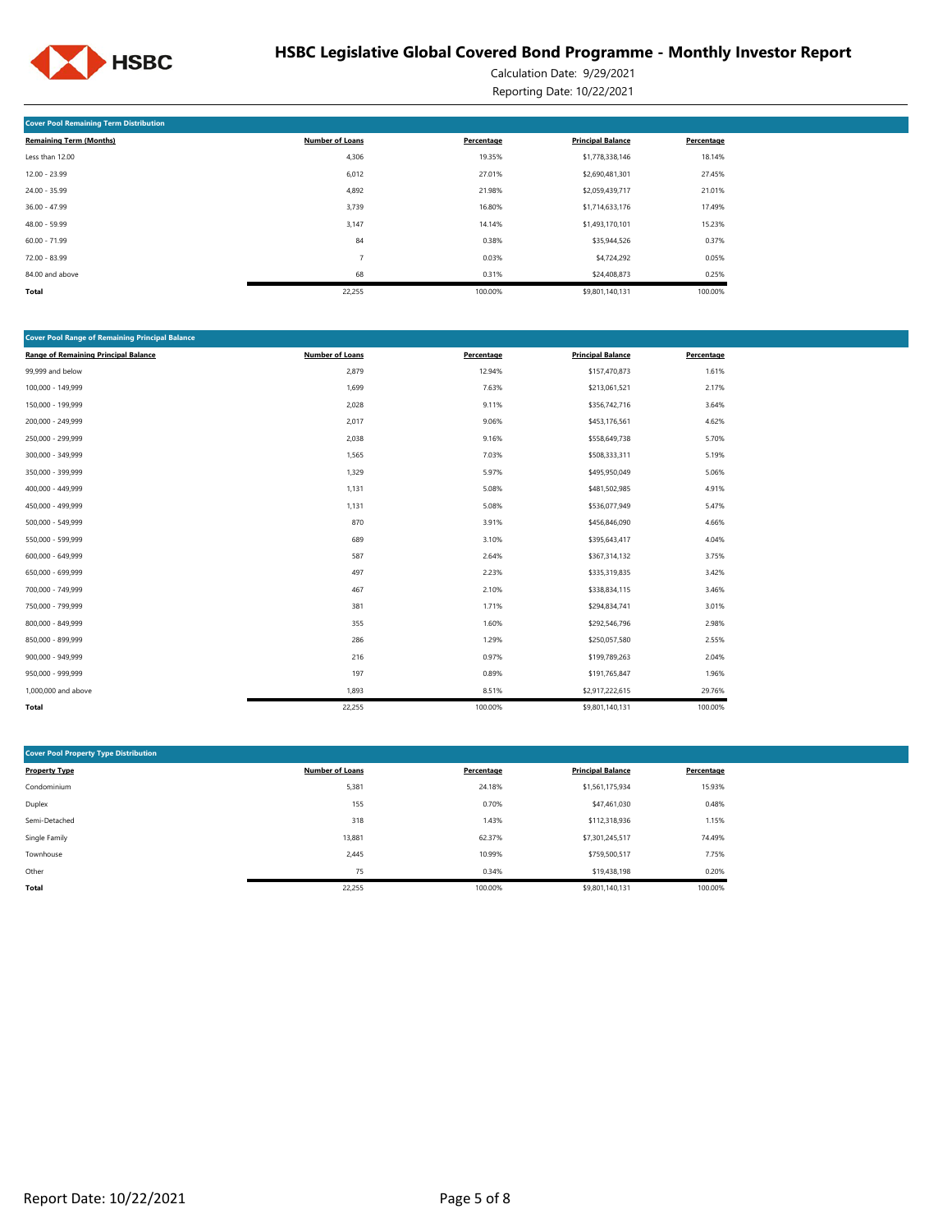

Calculation Date: 9/29/2021 Reporting Date: 10/22/2021

| <b>Cover Pool Remaining Term Distribution</b> |                        |            |                          |            |  |  |  |  |  |
|-----------------------------------------------|------------------------|------------|--------------------------|------------|--|--|--|--|--|
| <b>Remaining Term (Months)</b>                | <b>Number of Loans</b> | Percentage | <b>Principal Balance</b> | Percentage |  |  |  |  |  |
| Less than 12.00                               | 4,306                  | 19.35%     | \$1,778,338,146          | 18.14%     |  |  |  |  |  |
| $12.00 - 23.99$                               | 6,012                  | 27.01%     | \$2,690,481,301          | 27.45%     |  |  |  |  |  |
| 24.00 - 35.99                                 | 4,892                  | 21.98%     | \$2,059,439,717          | 21.01%     |  |  |  |  |  |
| $36.00 - 47.99$                               | 3,739                  | 16.80%     | \$1,714,633,176          | 17.49%     |  |  |  |  |  |
| 48.00 - 59.99                                 | 3,147                  | 14.14%     | \$1,493,170,101          | 15.23%     |  |  |  |  |  |
| $60.00 - 71.99$                               | 84                     | 0.38%      | \$35,944,526             | 0.37%      |  |  |  |  |  |
| 72.00 - 83.99                                 | -                      | 0.03%      | \$4,724,292              | 0.05%      |  |  |  |  |  |
| 84.00 and above                               | 68                     | 0.31%      | \$24,408,873             | 0.25%      |  |  |  |  |  |
| Total                                         | 22,255                 | 100.00%    | \$9,801,140,131          | 100.00%    |  |  |  |  |  |

| <b>Cover Pool Range of Remaining Principal Balance</b> |            |                          |            |  |  |  |  |  |
|--------------------------------------------------------|------------|--------------------------|------------|--|--|--|--|--|
| <b>Number of Loans</b>                                 | Percentage | <b>Principal Balance</b> | Percentage |  |  |  |  |  |
| 2,879                                                  | 12.94%     | \$157,470,873            | 1.61%      |  |  |  |  |  |
| 1,699                                                  | 7.63%      | \$213,061,521            | 2.17%      |  |  |  |  |  |
| 2,028                                                  | 9.11%      | \$356,742,716            | 3.64%      |  |  |  |  |  |
| 2,017                                                  | 9.06%      | \$453,176,561            | 4.62%      |  |  |  |  |  |
| 2,038                                                  | 9.16%      | \$558,649,738            | 5.70%      |  |  |  |  |  |
| 1,565                                                  | 7.03%      | \$508,333,311            | 5.19%      |  |  |  |  |  |
| 1,329                                                  | 5.97%      | \$495,950,049            | 5.06%      |  |  |  |  |  |
| 1,131                                                  | 5.08%      | \$481,502,985            | 4.91%      |  |  |  |  |  |
| 1,131                                                  | 5.08%      | \$536,077,949            | 5.47%      |  |  |  |  |  |
| 870                                                    | 3.91%      | \$456,846,090            | 4.66%      |  |  |  |  |  |
| 689                                                    | 3.10%      | \$395,643,417            | 4.04%      |  |  |  |  |  |
| 587                                                    | 2.64%      | \$367,314,132            | 3.75%      |  |  |  |  |  |
| 497                                                    | 2.23%      | \$335,319,835            | 3.42%      |  |  |  |  |  |
| 467                                                    | 2.10%      | \$338,834,115            | 3.46%      |  |  |  |  |  |
| 381                                                    | 1.71%      | \$294,834,741            | 3.01%      |  |  |  |  |  |
| 355                                                    | 1.60%      | \$292,546,796            | 2.98%      |  |  |  |  |  |
| 286                                                    | 1.29%      | \$250,057,580            | 2.55%      |  |  |  |  |  |
| 216                                                    | 0.97%      | \$199,789,263            | 2.04%      |  |  |  |  |  |
| 197                                                    | 0.89%      | \$191,765,847            | 1.96%      |  |  |  |  |  |
| 1,893                                                  | 8.51%      | \$2,917,222,615          | 29.76%     |  |  |  |  |  |
| 22,255                                                 | 100.00%    | \$9,801,140,131          | 100.00%    |  |  |  |  |  |
|                                                        |            |                          |            |  |  |  |  |  |

| <b>Cover Pool Property Type Distribution</b> |                        |            |                          |            |  |  |  |  |  |  |
|----------------------------------------------|------------------------|------------|--------------------------|------------|--|--|--|--|--|--|
| <b>Property Type</b>                         | <b>Number of Loans</b> | Percentage | <b>Principal Balance</b> | Percentage |  |  |  |  |  |  |
| Condominium                                  | 5,381                  | 24.18%     | \$1,561,175,934          | 15.93%     |  |  |  |  |  |  |
| Duplex                                       | 155                    | 0.70%      | \$47,461,030             | 0.48%      |  |  |  |  |  |  |
| Semi-Detached                                | 318                    | 1.43%      | \$112,318,936            | 1.15%      |  |  |  |  |  |  |
| Single Family                                | 13,881                 | 62.37%     | \$7,301,245,517          | 74.49%     |  |  |  |  |  |  |
| Townhouse                                    | 2,445                  | 10.99%     | \$759,500,517            | 7.75%      |  |  |  |  |  |  |
| Other                                        | 75                     | 0.34%      | \$19,438.198             | 0.20%      |  |  |  |  |  |  |
| Total                                        | 22,255                 | 100.00%    | \$9,801,140,131          | 100.00%    |  |  |  |  |  |  |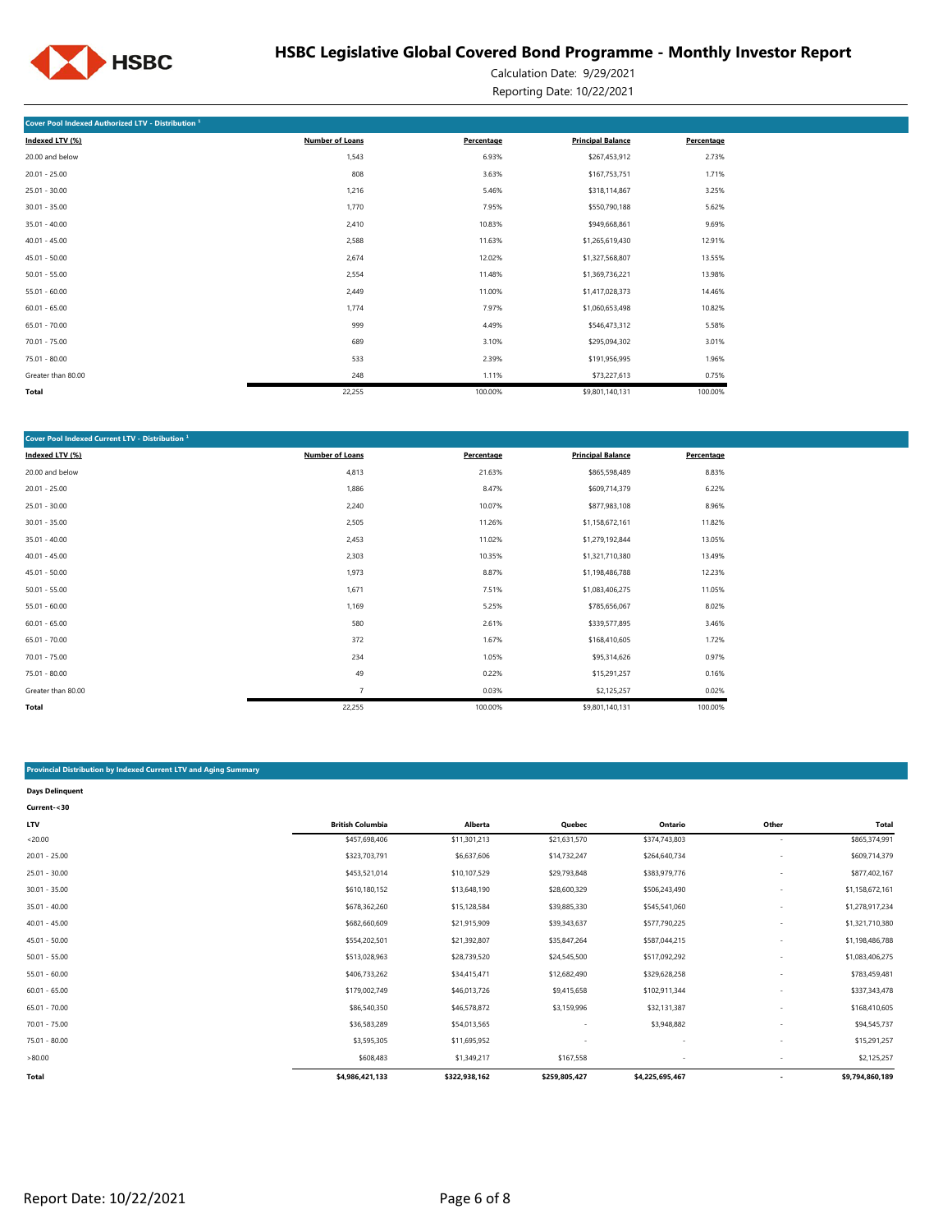

Calculation Date: 9/29/2021 Reporting Date: 10/22/2021

| Cover Pool Indexed Authorized LTV - Distribution <sup>1</sup> |                        |            |                          |            |
|---------------------------------------------------------------|------------------------|------------|--------------------------|------------|
| Indexed LTV (%)                                               | <b>Number of Loans</b> | Percentage | <b>Principal Balance</b> | Percentage |
| 20.00 and below                                               | 1,543                  | 6.93%      | \$267,453,912            | 2.73%      |
| $20.01 - 25.00$                                               | 808                    | 3.63%      | \$167,753,751            | 1.71%      |
| $25.01 - 30.00$                                               | 1,216                  | 5.46%      | \$318,114,867            | 3.25%      |
| $30.01 - 35.00$                                               | 1,770                  | 7.95%      | \$550,790,188            | 5.62%      |
| $35.01 - 40.00$                                               | 2,410                  | 10.83%     | \$949,668,861            | 9.69%      |
| $40.01 - 45.00$                                               | 2,588                  | 11.63%     | \$1,265,619,430          | 12.91%     |
| $45.01 - 50.00$                                               | 2,674                  | 12.02%     | \$1,327,568,807          | 13.55%     |
| $50.01 - 55.00$                                               | 2,554                  | 11.48%     | \$1,369,736,221          | 13.98%     |
| $55.01 - 60.00$                                               | 2,449                  | 11.00%     | \$1,417,028,373          | 14.46%     |
| $60.01 - 65.00$                                               | 1,774                  | 7.97%      | \$1,060,653,498          | 10.82%     |
| $65.01 - 70.00$                                               | 999                    | 4.49%      | \$546,473,312            | 5.58%      |
| $70.01 - 75.00$                                               | 689                    | 3.10%      | \$295,094,302            | 3.01%      |
| 75.01 - 80.00                                                 | 533                    | 2.39%      | \$191,956,995            | 1.96%      |
| Greater than 80.00                                            | 248                    | 1.11%      | \$73,227,613             | 0.75%      |
| Total                                                         | 22,255                 | 100.00%    | \$9,801,140,131          | 100.00%    |

| Cover Pool Indexed Current LTV - Distribution <sup>1</sup> |                        |            |                          |            |  |  |  |  |  |
|------------------------------------------------------------|------------------------|------------|--------------------------|------------|--|--|--|--|--|
| Indexed LTV (%)                                            | <b>Number of Loans</b> | Percentage | <b>Principal Balance</b> | Percentage |  |  |  |  |  |
| 20.00 and below                                            | 4,813                  | 21.63%     | \$865,598,489            | 8.83%      |  |  |  |  |  |
| $20.01 - 25.00$                                            | 1,886                  | 8.47%      | \$609,714,379            | 6.22%      |  |  |  |  |  |
| $25.01 - 30.00$                                            | 2,240                  | 10.07%     | \$877,983,108            | 8.96%      |  |  |  |  |  |
| $30.01 - 35.00$                                            | 2,505                  | 11.26%     | \$1,158,672,161          | 11.82%     |  |  |  |  |  |
| $35.01 - 40.00$                                            | 2,453                  | 11.02%     | \$1,279,192,844          | 13.05%     |  |  |  |  |  |
| $40.01 - 45.00$                                            | 2,303                  | 10.35%     | \$1,321,710,380          | 13.49%     |  |  |  |  |  |
| $45.01 - 50.00$                                            | 1,973                  | 8.87%      | \$1,198,486,788          | 12.23%     |  |  |  |  |  |
| $50.01 - 55.00$                                            | 1,671                  | 7.51%      | \$1,083,406,275          | 11.05%     |  |  |  |  |  |
| $55.01 - 60.00$                                            | 1,169                  | 5.25%      | \$785,656,067            | 8.02%      |  |  |  |  |  |
| $60.01 - 65.00$                                            | 580                    | 2.61%      | \$339,577,895            | 3.46%      |  |  |  |  |  |
| $65.01 - 70.00$                                            | 372                    | 1.67%      | \$168,410,605            | 1.72%      |  |  |  |  |  |
| $70.01 - 75.00$                                            | 234                    | 1.05%      | \$95,314,626             | 0.97%      |  |  |  |  |  |
| 75.01 - 80.00                                              | 49                     | 0.22%      | \$15,291,257             | 0.16%      |  |  |  |  |  |
| Greater than 80.00                                         | $\overline{7}$         | 0.03%      | \$2,125,257              | 0.02%      |  |  |  |  |  |
| Total                                                      | 22,255                 | 100.00%    | \$9,801,140,131          | 100.00%    |  |  |  |  |  |

### **Provincial Distribution by Indexed Current LTV and Aging Summary**

| <b>Days Delinguent</b> |                         |                |               |                          |                          |                 |
|------------------------|-------------------------|----------------|---------------|--------------------------|--------------------------|-----------------|
| Current-<30            |                         |                |               |                          |                          |                 |
| <b>LTV</b>             | <b>British Columbia</b> | <b>Alberta</b> | Quebec        | Ontario                  | Other                    | <b>Total</b>    |
| < 20.00                | \$457,698,406           | \$11,301,213   | \$21,631,570  | \$374,743,803            |                          | \$865,374,991   |
| $20.01 - 25.00$        | \$323,703,791           | \$6,637,606    | \$14,732,247  | \$264,640,734            | ٠                        | \$609,714,379   |
| $25.01 - 30.00$        | \$453,521,014           | \$10,107,529   | \$29,793,848  | \$383,979,776            |                          | \$877,402,167   |
| $30.01 - 35.00$        | \$610,180,152           | \$13,648,190   | \$28,600,329  | \$506,243,490            |                          | \$1,158,672,161 |
| $35.01 - 40.00$        | \$678,362,260           | \$15,128,584   | \$39,885,330  | \$545,541,060            |                          | \$1,278,917,234 |
| $40.01 - 45.00$        | \$682,660,609           | \$21,915,909   | \$39,343,637  | \$577,790,225            |                          | \$1,321,710,380 |
| $45.01 - 50.00$        | \$554,202,501           | \$21,392,807   | \$35,847,264  | \$587,044,215            |                          | \$1,198,486,788 |
| $50.01 - 55.00$        | \$513,028,963           | \$28,739,520   | \$24,545,500  | \$517,092,292            |                          | \$1,083,406,275 |
| $55.01 - 60.00$        | \$406,733,262           | \$34,415,471   | \$12,682,490  | \$329,628,258            |                          | \$783,459,481   |
| $60.01 - 65.00$        | \$179,002,749           | \$46,013,726   | \$9,415,658   | \$102,911,344            |                          | \$337,343,478   |
| $65.01 - 70.00$        | \$86,540,350            | \$46,578,872   | \$3,159,996   | \$32,131,387             |                          | \$168,410,605   |
| $70.01 - 75.00$        | \$36,583,289            | \$54,013,565   | $\sim$        | \$3,948,882              |                          | \$94,545,737    |
| $75.01 - 80.00$        | \$3,595,305             | \$11,695,952   | $\sim$        | $\overline{\phantom{a}}$ | ٠                        | \$15,291,257    |
| >80.00                 | \$608,483               | \$1,349,217    | \$167,558     | ٠                        |                          | \$2,125,257     |
| <b>Total</b>           | \$4,986,421,133         | \$322,938,162  | \$259,805,427 | \$4,225,695,467          | $\overline{\phantom{a}}$ | \$9,794,860,189 |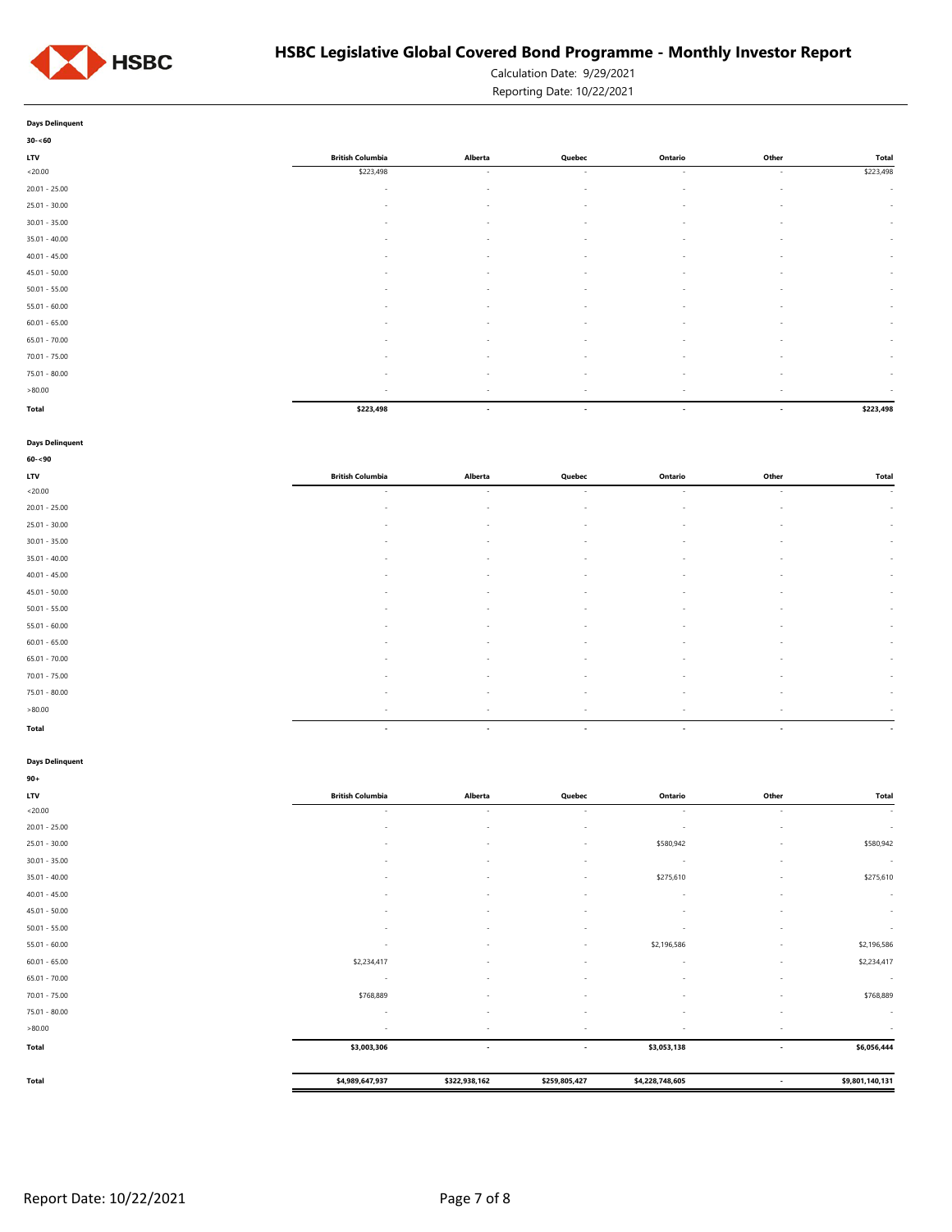

Calculation Date: 9/29/2021

Reporting Date: 10/22/2021

|            | <b>Days Delinquent</b> |  |  |
|------------|------------------------|--|--|
|            | $30 - 60$              |  |  |
| <b>LTV</b> |                        |  |  |

| 30-~00          |                          |                          |                          |                          |        |           |
|-----------------|--------------------------|--------------------------|--------------------------|--------------------------|--------|-----------|
| LTV             | <b>British Columbia</b>  | Alberta                  | Quebec                   | Ontario                  | Other  | Total     |
| < 20.00         | \$223,498                | $\sim$                   | $\sim$                   | $\sim$                   | $\sim$ | \$223,498 |
| 20.01 - 25.00   | $\sim$                   | $\overline{\phantom{a}}$ | $\sim$                   | $\sim$                   | $\sim$ | $\sim$    |
| 25.01 - 30.00   | $\sim$                   | $\sim$                   | $\sim$                   | $\sim$                   | $\sim$ | $\sim$    |
| $30.01 - 35.00$ | $\sim$                   | $\sim$                   | $\sim$                   | $\sim$                   | $\sim$ | $\sim$    |
| 35.01 - 40.00   | $\sim$                   | $\sim$                   | $\sim$                   | $\sim$                   | $\sim$ | $\sim$    |
| $40.01 - 45.00$ | $\sim$                   | $\sim$                   | $\sim$                   | $\sim$                   | $\sim$ | $\sim$    |
| 45.01 - 50.00   | $\overline{\phantom{a}}$ | $\overline{\phantom{a}}$ | $\sim$                   | $\sim$                   | $\sim$ | $\sim$    |
| $50.01 - 55.00$ | $\overline{\phantom{a}}$ | $\overline{\phantom{a}}$ | $\sim$                   | $\sim$                   | $\sim$ | $\sim$    |
| 55.01 - 60.00   | $\sim$                   | $\overline{\phantom{a}}$ | $\overline{\phantom{a}}$ | $\sim$                   | . п.   | $\sim$    |
| $60.01 - 65.00$ | $\sim$                   | $\sim$                   | $\sim$                   | $\sim$                   | $\sim$ | $\sim$    |
| 65.01 - 70.00   | $\sim$                   | $\sim$                   | $\sim$                   | $\sim$                   | $\sim$ | $\sim$    |
| 70.01 - 75.00   | $\sim$                   | $\sim$                   | $\sim$                   | $\sim$                   | $\sim$ | $\sim$    |
| 75.01 - 80.00   | $\sim$                   | $\sim$                   | $\sim$                   | $\sim$                   | $\sim$ | $\sim$    |
| 80.00           | $\sim$                   | $\overline{\phantom{a}}$ | $\sim$                   | $\overline{\phantom{a}}$ | $\sim$ | $\sim$    |
| Total           | \$223,498                | $\overline{\phantom{a}}$ | $\overline{\phantom{a}}$ | $\overline{\phantom{a}}$ | $\sim$ | \$223,498 |

#### **Days Delinquent**

| $60 - 90$       |                          |                          |                          |                          |                          |                          |
|-----------------|--------------------------|--------------------------|--------------------------|--------------------------|--------------------------|--------------------------|
| <b>LTV</b>      | <b>British Columbia</b>  | Alberta                  | Quebec                   | Ontario                  | Other                    | Total                    |
| < 20.00         | $\sim$                   | $\sim$                   | $\sim$                   | $\sim$                   | $\sim$                   | <b>Section</b>           |
| $20.01 - 25.00$ | $\overline{\phantom{a}}$ | $\overline{\phantom{a}}$ | $\overline{\phantom{a}}$ | $\overline{\phantom{a}}$ | $\sim$                   | $\sim$                   |
| 25.01 - 30.00   | ٠                        | $\sim$                   | $\sim$                   | $\sim$                   | ٠                        | $\sim$                   |
| $30.01 - 35.00$ | $\sim$                   | $\sim$                   | $\sim$                   | $\overline{\phantom{a}}$ | $\sim$                   | $\sim$                   |
| $35.01 - 40.00$ | $\sim$                   | $\sim$                   | $\sim$                   | $\overline{\phantom{a}}$ | $\sim$                   | $\sim$                   |
| $40.01 - 45.00$ | $\sim$                   | $\sim$                   | $\sim$                   | $\overline{\phantom{a}}$ | $\sim$                   | $\sim$                   |
| $45.01 - 50.00$ | $\sim$                   | $\sim$                   | $\sim$                   | $\overline{\phantom{a}}$ | $\sim$                   | $\sim$                   |
| $50.01 - 55.00$ |                          | $\overline{\phantom{a}}$ | $\overline{\phantom{a}}$ | $\overline{\phantom{a}}$ | ٠                        | $\sim$                   |
| $55.01 - 60.00$ | ٠                        | $\sim$                   | $\overline{\phantom{a}}$ | $\overline{\phantom{a}}$ | $\overline{\phantom{a}}$ | $\sim$                   |
| $60.01 - 65.00$ | $\sim$                   | $\overline{\phantom{a}}$ | $\sim$                   | $\overline{\phantom{a}}$ | ٠                        | $\sim$                   |
| $65.01 - 70.00$ | $\sim$                   | $\sim$                   | $\sim$                   | $\overline{\phantom{a}}$ | ٠                        | $\sim$                   |
| $70.01 - 75.00$ | ٠                        | $\overline{\phantom{a}}$ | $\sim$                   | $\overline{\phantom{a}}$ | ٠                        | $\sim$                   |
| 75.01 - 80.00   | $\sim$                   | $\sim$                   | $\sim$                   | $\sim$                   | $\sim$                   | $\sim$                   |
| >80.00          | $\overline{\phantom{a}}$ | $\sim$                   | $\overline{\phantom{a}}$ | $\sim$                   | $\overline{\phantom{a}}$ | $\sim$                   |
| Total           | $\overline{\phantom{a}}$ | $\sim$                   | $\overline{\phantom{a}}$ | $\overline{\phantom{a}}$ | $\sim$                   | $\overline{\phantom{a}}$ |

#### **Days Delinquent**

| $90+$           |                          |                          |                          |                          |                          |                 |
|-----------------|--------------------------|--------------------------|--------------------------|--------------------------|--------------------------|-----------------|
| <b>LTV</b>      | <b>British Columbia</b>  | Alberta                  | Quebec                   | Ontario                  | Other                    | Total           |
| < 20.00         | $\sim$                   | $\sim$                   | $\sim$                   | $\sim$                   | $\sim$                   | $\sim$          |
| $20.01 - 25.00$ | ٠                        | $\overline{\phantom{a}}$ | $\overline{\phantom{a}}$ | $\overline{\phantom{a}}$ |                          | $\sim$          |
| $25.01 - 30.00$ | ۰                        | ۰                        |                          | \$580,942                | ۰.                       | \$580,942       |
| $30.01 - 35.00$ | ٠                        | $\overline{\phantom{a}}$ | $\sim$                   | $\sim$                   | ٠                        | $\sim$          |
| $35.01 - 40.00$ | ٠                        | $\overline{\phantom{a}}$ | $\sim$                   | \$275,610                | ٠                        | \$275,610       |
| $40.01 - 45.00$ | ٠                        | ٠                        |                          | $\overline{\phantom{a}}$ | ÷                        | $\sim$          |
| $45.01 - 50.00$ | ٠                        | $\overline{\phantom{a}}$ |                          | ٠                        |                          | $\sim$          |
| $50.01 - 55.00$ | ٠                        | $\overline{\phantom{a}}$ | $\sim$                   | $\overline{\phantom{a}}$ | ٠                        | $\sim$          |
| $55.01 - 60.00$ | ٠                        | $\overline{\phantom{a}}$ | $\overline{\phantom{a}}$ | \$2,196,586              | ٠                        | \$2,196,586     |
| $60.01 - 65.00$ | \$2,234,417              | ۰                        | $\sim$                   | $\overline{\phantom{a}}$ | ٠                        | \$2,234,417     |
| $65.01 - 70.00$ | $\overline{\phantom{a}}$ | $\overline{\phantom{a}}$ | $\overline{\phantom{a}}$ | $\overline{\phantom{a}}$ | ٠                        | $\sim$          |
| $70.01 - 75.00$ | \$768,889                | $\overline{\phantom{a}}$ | $\sim$                   | $\overline{\phantom{a}}$ | ٠                        | \$768,889       |
| $75.01 - 80.00$ | ٠                        | $\overline{\phantom{a}}$ | $\overline{\phantom{a}}$ | $\overline{\phantom{a}}$ | ٠                        | $\sim$          |
| >80.00          | $\overline{\phantom{a}}$ | $\overline{\phantom{a}}$ | $\sim$                   | $\overline{\phantom{a}}$ | $\sim$                   | $\sim$          |
| Total           | \$3,003,306              | $\overline{\phantom{a}}$ | $\overline{\phantom{a}}$ | \$3,053,138              | $\sim$                   | \$6,056,444     |
|                 |                          |                          |                          |                          |                          |                 |
| <b>Total</b>    | \$4,989,647,937          | \$322,938,162            | \$259,805,427            | \$4,228,748,605          | $\overline{\phantom{a}}$ | \$9,801,140,131 |